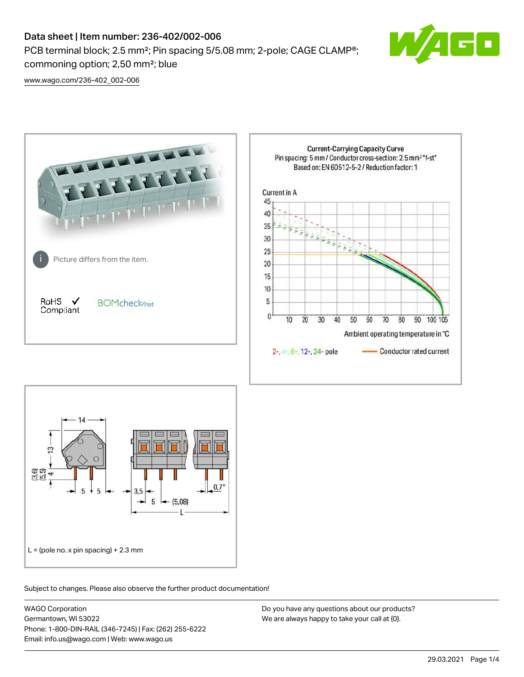# Data sheet | Item number: 236-402/002-006

PCB terminal block; 2.5 mm²; Pin spacing 5/5.08 mm; 2-pole; CAGE CLAMP®; commoning option; 2,50 mm²; blue



[www.wago.com/236-402\\_002-006](http://www.wago.com/236-402_002-006)





Subject to changes. Please also observe the further product documentation!

WAGO Corporation Germantown, WI 53022 Phone: 1-800-DIN-RAIL (346-7245) | Fax: (262) 255-6222 Email: info.us@wago.com | Web: www.wago.us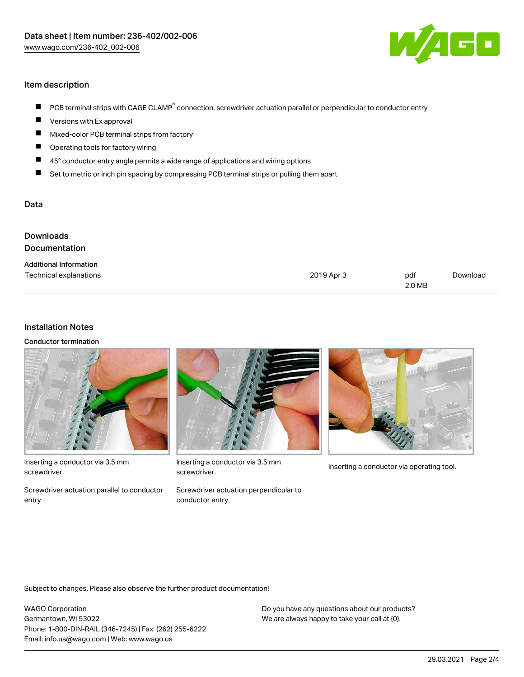

## Item description

- PCB terminal strips with CAGE CLAMP<sup>®</sup> connection, screwdriver actuation parallel or perpendicular to conductor entry  $\blacksquare$
- Versions with Ex approval П
- $\blacksquare$ Mixed-color PCB terminal strips from factory
- $\blacksquare$ Operating tools for factory wiring
- $\blacksquare$ 45° conductor entry angle permits a wide range of applications and wiring options
- П Set to metric or inch pin spacing by compressing PCB terminal strips or pulling them apart

### Data

| <b>Downloads</b><br>Documentation                       |            |               |          |
|---------------------------------------------------------|------------|---------------|----------|
| <b>Additional Information</b><br>Technical explanations | 2019 Apr 3 | pdf<br>2.0 MB | Download |

#### Installation Notes

Conductor termination



Inserting a conductor via 3.5 mm screwdriver.

Screwdriver actuation parallel to conductor entry



Inserting a conductor via 3.5 mm<br>Inserting a conductor via operating tool. screwdriver.

Screwdriver actuation perpendicular to conductor entry



Subject to changes. Please also observe the further product documentation!

WAGO Corporation Germantown, WI 53022 Phone: 1-800-DIN-RAIL (346-7245) | Fax: (262) 255-6222 Email: info.us@wago.com | Web: www.wago.us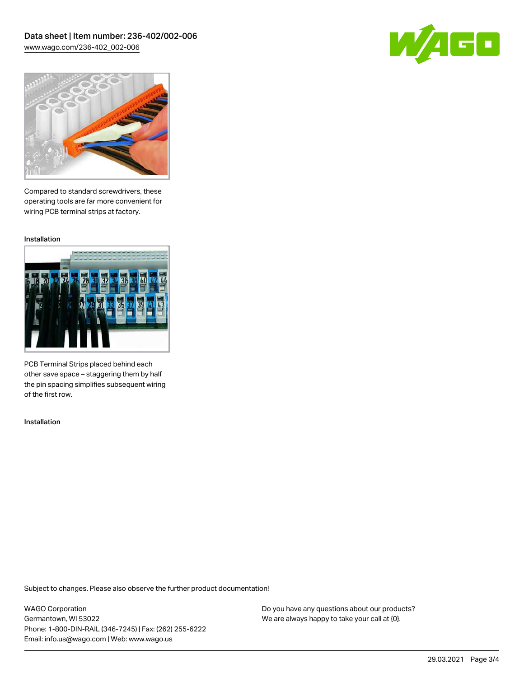Data sheet | Item number: 236-402/002-006 [www.wago.com/236-402\\_002-006](http://www.wago.com/236-402_002-006)





Compared to standard screwdrivers, these operating tools are far more convenient for wiring PCB terminal strips at factory.

Installation



PCB Terminal Strips placed behind each other save space – staggering them by half the pin spacing simplifies subsequent wiring of the first row.

Installation

Subject to changes. Please also observe the further product documentation!

WAGO Corporation Germantown, WI 53022 Phone: 1-800-DIN-RAIL (346-7245) | Fax: (262) 255-6222 Email: info.us@wago.com | Web: www.wago.us